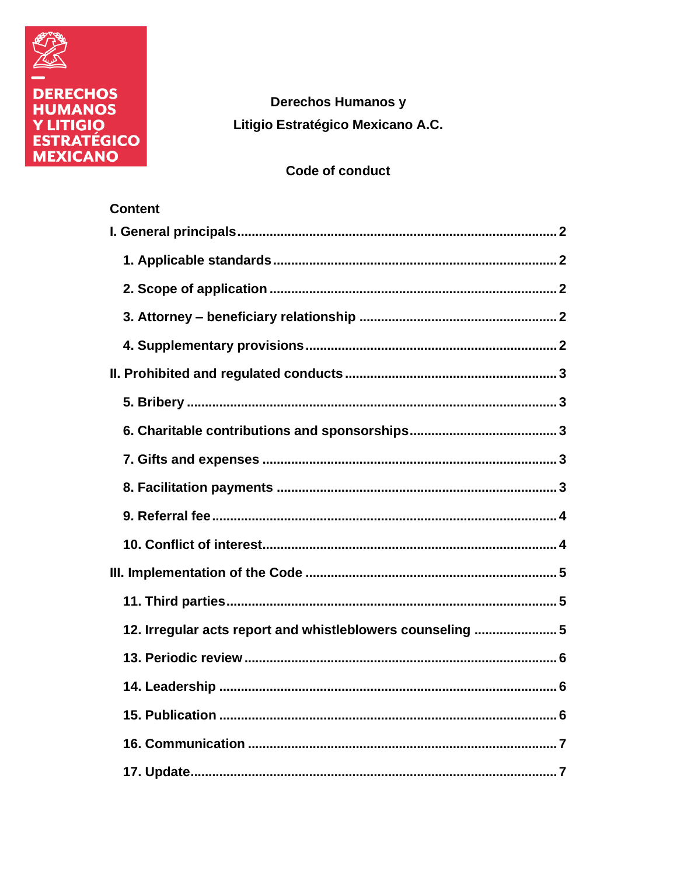

Content

**Derechos Humanos y** Litigio Estratégico Mexicano A.C.

# Code of conduct

| 12. Irregular acts report and whistleblowers counseling 5 |
|-----------------------------------------------------------|
|                                                           |
|                                                           |
|                                                           |
|                                                           |
|                                                           |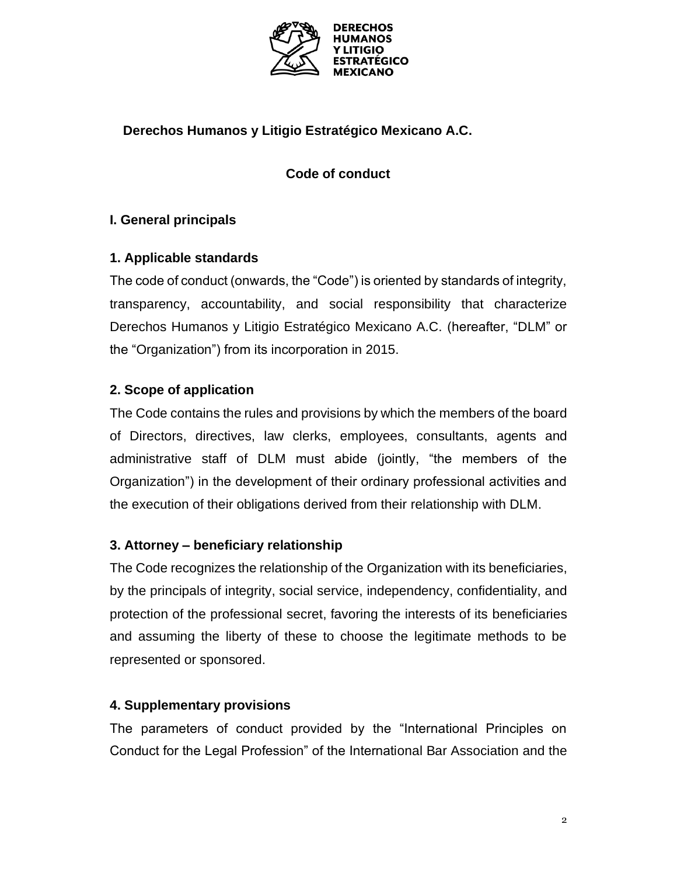

# **Derechos Humanos y Litigio Estratégico Mexicano A.C.**

# **Code of conduct**

# <span id="page-1-0"></span>**I. General principals**

# <span id="page-1-1"></span>**1. Applicable standards**

The code of conduct (onwards, the "Code") is oriented by standards of integrity, transparency, accountability, and social responsibility that characterize Derechos Humanos y Litigio Estratégico Mexicano A.C. (hereafter, "DLM" or the "Organization") from its incorporation in 2015.

# <span id="page-1-2"></span>**2. Scope of application**

The Code contains the rules and provisions by which the members of the board of Directors, directives, law clerks, employees, consultants, agents and administrative staff of DLM must abide (jointly, "the members of the Organization") in the development of their ordinary professional activities and the execution of their obligations derived from their relationship with DLM.

# <span id="page-1-3"></span>**3. Attorney – beneficiary relationship**

The Code recognizes the relationship of the Organization with its beneficiaries, by the principals of integrity, social service, independency, confidentiality, and protection of the professional secret, favoring the interests of its beneficiaries and assuming the liberty of these to choose the legitimate methods to be represented or sponsored.

# <span id="page-1-4"></span>**4. Supplementary provisions**

The parameters of conduct provided by the "International Principles on Conduct for the Legal Profession" of the International Bar Association and the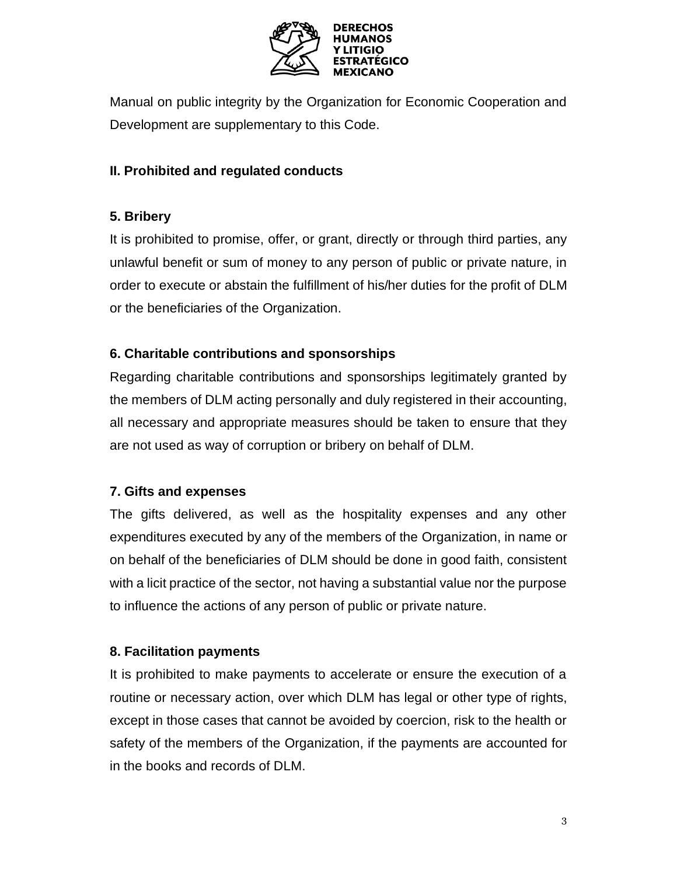

Manual on public integrity by the Organization for Economic Cooperation and Development are supplementary to this Code.

# <span id="page-2-0"></span>**II. Prohibited and regulated conducts**

# <span id="page-2-1"></span>**5. Bribery**

It is prohibited to promise, offer, or grant, directly or through third parties, any unlawful benefit or sum of money to any person of public or private nature, in order to execute or abstain the fulfillment of his/her duties for the profit of DLM or the beneficiaries of the Organization.

# <span id="page-2-2"></span>**6. Charitable contributions and sponsorships**

Regarding charitable contributions and sponsorships legitimately granted by the members of DLM acting personally and duly registered in their accounting, all necessary and appropriate measures should be taken to ensure that they are not used as way of corruption or bribery on behalf of DLM.

# <span id="page-2-3"></span>**7. Gifts and expenses**

The gifts delivered, as well as the hospitality expenses and any other expenditures executed by any of the members of the Organization, in name or on behalf of the beneficiaries of DLM should be done in good faith, consistent with a licit practice of the sector, not having a substantial value nor the purpose to influence the actions of any person of public or private nature.

# <span id="page-2-4"></span>**8. Facilitation payments**

It is prohibited to make payments to accelerate or ensure the execution of a routine or necessary action, over which DLM has legal or other type of rights, except in those cases that cannot be avoided by coercion, risk to the health or safety of the members of the Organization, if the payments are accounted for in the books and records of DLM.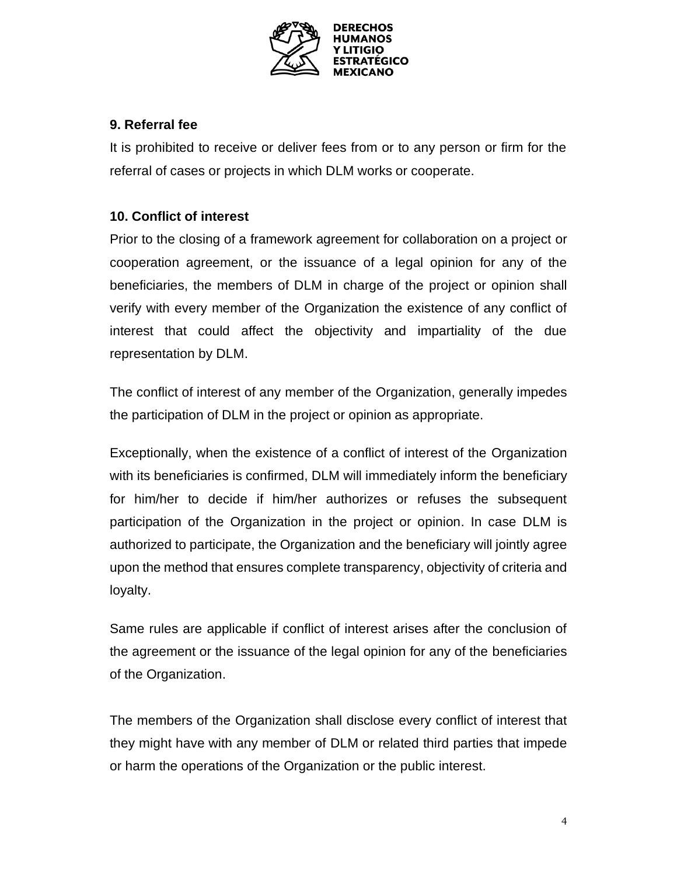

# <span id="page-3-0"></span>**9. Referral fee**

It is prohibited to receive or deliver fees from or to any person or firm for the referral of cases or projects in which DLM works or cooperate.

# <span id="page-3-1"></span>**10. Conflict of interest**

Prior to the closing of a framework agreement for collaboration on a project or cooperation agreement, or the issuance of a legal opinion for any of the beneficiaries, the members of DLM in charge of the project or opinion shall verify with every member of the Organization the existence of any conflict of interest that could affect the objectivity and impartiality of the due representation by DLM.

The conflict of interest of any member of the Organization, generally impedes the participation of DLM in the project or opinion as appropriate.

Exceptionally, when the existence of a conflict of interest of the Organization with its beneficiaries is confirmed, DLM will immediately inform the beneficiary for him/her to decide if him/her authorizes or refuses the subsequent participation of the Organization in the project or opinion. In case DLM is authorized to participate, the Organization and the beneficiary will jointly agree upon the method that ensures complete transparency, objectivity of criteria and loyalty.

Same rules are applicable if conflict of interest arises after the conclusion of the agreement or the issuance of the legal opinion for any of the beneficiaries of the Organization.

The members of the Organization shall disclose every conflict of interest that they might have with any member of DLM or related third parties that impede or harm the operations of the Organization or the public interest.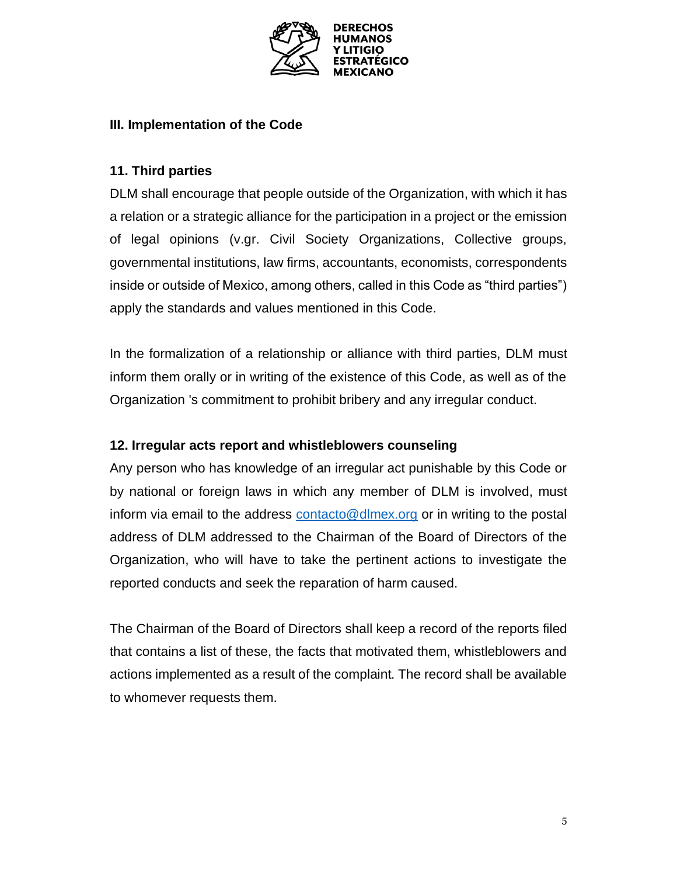

#### <span id="page-4-0"></span>**III. Implementation of the Code**

#### <span id="page-4-1"></span>**11. Third parties**

DLM shall encourage that people outside of the Organization, with which it has a relation or a strategic alliance for the participation in a project or the emission of legal opinions (v.gr. Civil Society Organizations, Collective groups, governmental institutions, law firms, accountants, economists, correspondents inside or outside of Mexico, among others, called in this Code as "third parties") apply the standards and values mentioned in this Code.

In the formalization of a relationship or alliance with third parties, DLM must inform them orally or in writing of the existence of this Code, as well as of the Organization 's commitment to prohibit bribery and any irregular conduct.

#### <span id="page-4-2"></span>**12. Irregular acts report and whistleblowers counseling**

Any person who has knowledge of an irregular act punishable by this Code or by national or foreign laws in which any member of DLM is involved, must inform via email to the address contacto@dlmex.org or in writing to the postal address of DLM addressed to the Chairman of the Board of Directors of the Organization, who will have to take the pertinent actions to investigate the reported conducts and seek the reparation of harm caused.

The Chairman of the Board of Directors shall keep a record of the reports filed that contains a list of these, the facts that motivated them, whistleblowers and actions implemented as a result of the complaint. The record shall be available to whomever requests them.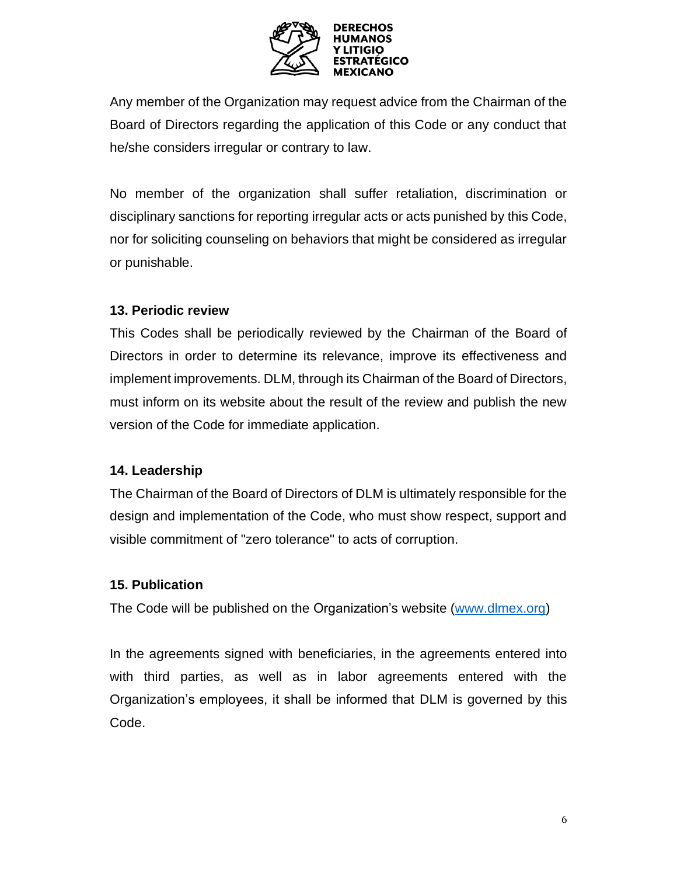

Any member of the Organization may request advice from the Chairman of the Board of Directors regarding the application of this Code or any conduct that he/she considers irregular or contrary to law.

No member of the organization shall suffer retaliation, discrimination or disciplinary sanctions for reporting irregular acts or acts punished by this Code, nor for soliciting counseling on behaviors that might be considered as irregular or punishable.

#### <span id="page-5-0"></span>**13. Periodic review**

This Codes shall be periodically reviewed by the Chairman of the Board of Directors in order to determine its relevance, improve its effectiveness and implement improvements. DLM, through its Chairman of the Board of Directors, must inform on its website about the result of the review and publish the new version of the Code for immediate application.

# <span id="page-5-1"></span>**14. Leadership**

The Chairman of the Board of Directors of DLM is ultimately responsible for the design and implementation of the Code, who must show respect, support and visible commitment of "zero tolerance" to acts of corruption.

# <span id="page-5-2"></span>**15. Publication**

The Code will be published on the Organization's website [\(www.dlmex.org\)](http://www.dlmex.org/)

In the agreements signed with beneficiaries, in the agreements entered into with third parties, as well as in labor agreements entered with the Organization's employees, it shall be informed that DLM is governed by this Code.